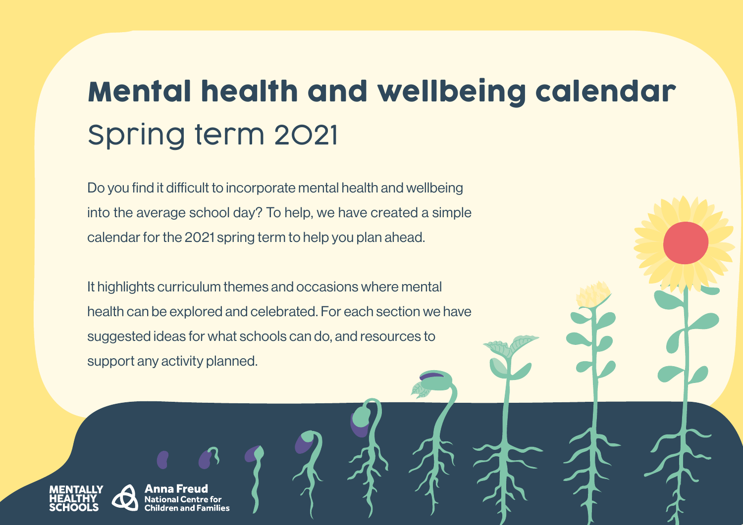## Mental health and wellbeing calendar Spring term 2021

Do you find it difficult to incorporate mental health and wellbeing into the average school day? To help, we have created a simple calendar for the 2021 spring term to help you plan ahead.

It highlights curriculum themes and occasions where mental health can be explored and celebrated. For each section we have suggested ideas for what schools can do, and resources to support any activity planned.



Anna Freu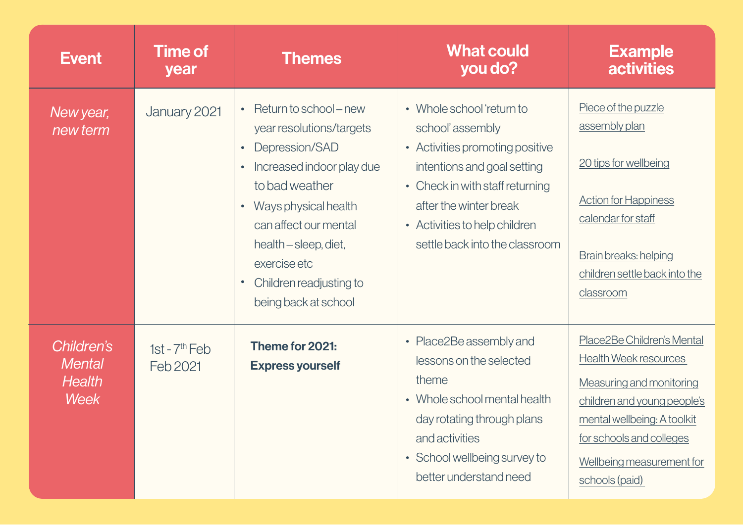| <b>Event</b>                                                | <b>Time of</b><br>year      | <b>Themes</b>                                                                                                                                                                                                                                                                              | <b>What could</b><br>you do?                                                                                                                                                                                                                            | <b>Example</b><br><b>activities</b>                                                                                                                                                                                             |
|-------------------------------------------------------------|-----------------------------|--------------------------------------------------------------------------------------------------------------------------------------------------------------------------------------------------------------------------------------------------------------------------------------------|---------------------------------------------------------------------------------------------------------------------------------------------------------------------------------------------------------------------------------------------------------|---------------------------------------------------------------------------------------------------------------------------------------------------------------------------------------------------------------------------------|
| New year,<br>new term                                       | January 2021                | Return to school – new<br>year resolutions/targets<br>Depression/SAD<br>Increased indoor play due<br>$\bullet$<br>to bad weather<br>Ways physical health<br>$\bullet$<br>can affect our mental<br>health – sleep, diet,<br>exercise etc<br>Children readjusting to<br>being back at school | Whole school 'return to<br>school'assembly<br>• Activities promoting positive<br>intentions and goal setting<br>Check in with staff returning<br>$\bullet$<br>after the winter break<br>• Activities to help children<br>settle back into the classroom | Piece of the puzzle<br>assembly plan<br>20 tips for wellbeing<br><b>Action for Happiness</b><br>calendar for staff<br>Brain breaks: helping<br>children settle back into the<br>classroom                                       |
| Children's<br><b>Mental</b><br><b>Health</b><br><b>Week</b> | 1st - $7th$ Feb<br>Feb 2021 | Theme for 2021:<br><b>Express yourself</b>                                                                                                                                                                                                                                                 | Place2Be assembly and<br>$\bullet$<br>lessons on the selected<br>theme<br>Whole school mental health<br>day rotating through plans<br>and activities<br>School wellbeing survey to<br>$\bullet$<br>better understand need                               | Place2Be Children's Mental<br><b>Health Week resources</b><br>Measuring and monitoring<br>children and young people's<br>mental wellbeing: A toolkit<br>for schools and colleges<br>Wellbeing measurement for<br>schools (paid) |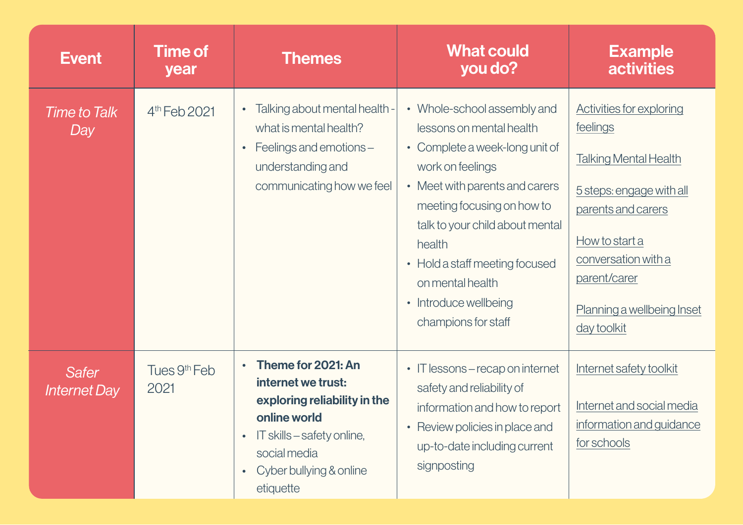| <b>Event</b>                        | <b>Time of</b><br>year           | <b>Themes</b>                                                                                                                                                                                            | <b>What could</b><br>you do?                                                                                                                                                                                                                                                                                                     | <b>Example</b><br><b>activities</b>                                                                                                                                                                                                 |
|-------------------------------------|----------------------------------|----------------------------------------------------------------------------------------------------------------------------------------------------------------------------------------------------------|----------------------------------------------------------------------------------------------------------------------------------------------------------------------------------------------------------------------------------------------------------------------------------------------------------------------------------|-------------------------------------------------------------------------------------------------------------------------------------------------------------------------------------------------------------------------------------|
| <b>Time to Talk</b><br>Day          | 4 <sup>th</sup> Feb 2021         | Talking about mental health -<br>$\bullet$<br>what is mental health?<br>Feelings and emotions -<br>$\bullet$<br>understanding and<br>communicating how we feel                                           | • Whole-school assembly and<br>lessons on mental health<br>• Complete a week-long unit of<br>work on feelings<br>• Meet with parents and carers<br>meeting focusing on how to<br>talk to your child about mental<br>health<br>• Hold a staff meeting focused<br>on mental health<br>• Introduce wellbeing<br>champions for staff | <b>Activities for exploring</b><br>feelings<br><b>Talking Mental Health</b><br>5 steps: engage with all<br>parents and carers<br>How to start a<br>conversation with a<br>parent/carer<br>Planning a wellbeing Inset<br>day toolkit |
| <b>Safer</b><br><b>Internet Day</b> | Tues 9 <sup>th</sup> Feb<br>2021 | Theme for 2021: An<br>$\bullet$<br>internet we trust:<br>exploring reliability in the<br>online world<br>IT skills – safety online,<br>$\bullet$<br>social media<br>Cyber bullying & online<br>etiquette | • IT lessons – recap on internet<br>safety and reliability of<br>information and how to report<br>• Review policies in place and<br>up-to-date including current<br>signposting                                                                                                                                                  | Internet safety toolkit<br>Internet and social media<br>information and guidance<br>for schools                                                                                                                                     |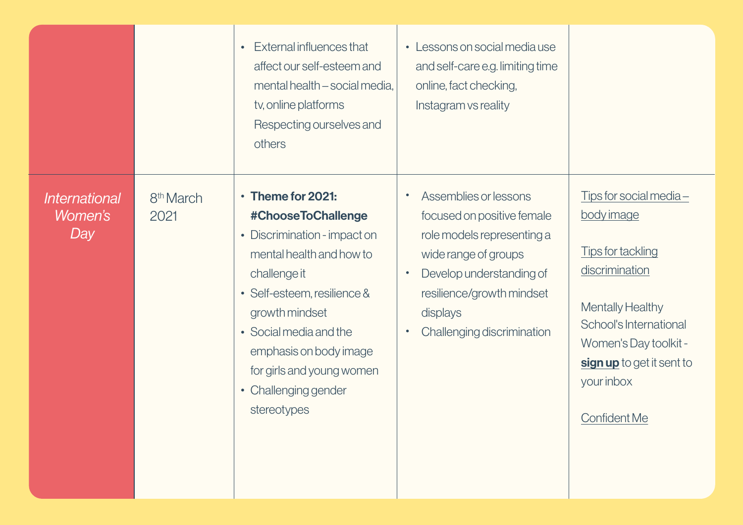|                                               |                               | External influences that<br>$\bullet$<br>affect our self-esteem and<br>mental health - social media,<br>tv, online platforms<br>Respecting ourselves and<br>others                                                                                                                                    | Lessons on social media use<br>$\bullet$<br>and self-care e.g. limiting time<br>online, fact checking,<br>Instagram vs reality                                                                                                                      |                                                                                                                                                                                                                                |
|-----------------------------------------------|-------------------------------|-------------------------------------------------------------------------------------------------------------------------------------------------------------------------------------------------------------------------------------------------------------------------------------------------------|-----------------------------------------------------------------------------------------------------------------------------------------------------------------------------------------------------------------------------------------------------|--------------------------------------------------------------------------------------------------------------------------------------------------------------------------------------------------------------------------------|
| <i><b>International</b></i><br>Women's<br>Day | 8 <sup>th</sup> March<br>2021 | Theme for 2021:<br>#ChooseToChallenge<br>• Discrimination - impact on<br>mental health and how to<br>challenge it<br>• Self-esteem, resilience &<br>growth mindset<br>• Social media and the<br>emphasis on body image<br>for girls and young women<br>Challenging gender<br>$\bullet$<br>stereotypes | Assemblies or lessons<br>$\bullet$<br>focused on positive female<br>role models representing a<br>wide range of groups<br>Develop understanding of<br>$\bullet$<br>resilience/growth mindset<br>displays<br>Challenging discrimination<br>$\bullet$ | $Tips$ for social media -<br>body image<br><b>Tips for tackling</b><br>discrimination<br>Mentally Healthy<br>School's International<br>Women's Day toolkit -<br>sign up to get it sent to<br>your inbox<br><b>Confident Me</b> |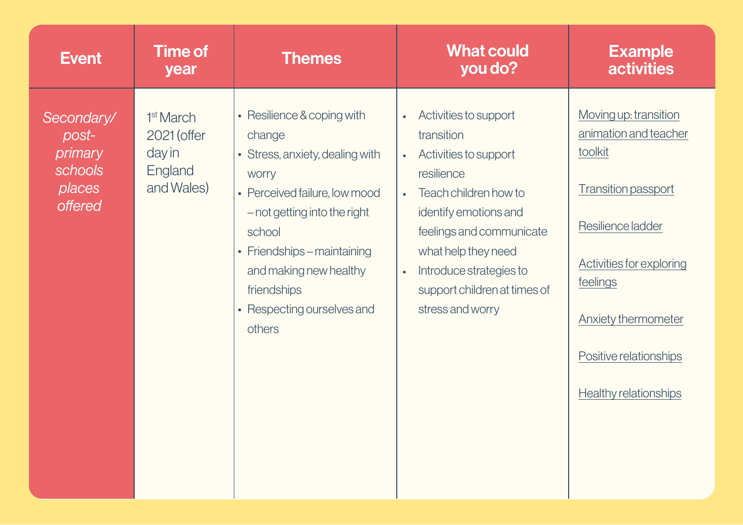| <b>Event</b>                                                          | <b>Time of</b><br>year                                                  | <b>Themes</b>                                                                                                                                                                                                                                                                      | <b>What could</b><br>you do?                                                                                                                                                                                                                                                                                       | <b>Example</b><br><b>activities</b>                                                                                                                                                                                                                 |
|-----------------------------------------------------------------------|-------------------------------------------------------------------------|------------------------------------------------------------------------------------------------------------------------------------------------------------------------------------------------------------------------------------------------------------------------------------|--------------------------------------------------------------------------------------------------------------------------------------------------------------------------------------------------------------------------------------------------------------------------------------------------------------------|-----------------------------------------------------------------------------------------------------------------------------------------------------------------------------------------------------------------------------------------------------|
| Secondary/<br>post-<br>primary<br>schools<br>places<br><b>offered</b> | 1 <sup>st</sup> March<br>2021 (offer<br>day in<br>England<br>and Wales) | • Resilience & coping with<br>change<br>• Stress, anxiety, dealing with<br><b>WOrry</b><br>• Perceived failure, low mood<br>- not getting into the right<br>school<br>• Friendships - maintaining<br>and making new healthy<br>friendships<br>• Respecting ourselves and<br>others | Activities to support<br>$\bullet$<br>transition<br>Activities to support<br>$\bullet$<br>resilience<br>Teach children how to<br>$\bullet$<br>identify emotions and<br>feelings and communicate<br>what help they need<br>Introduce strategies to<br>$\bullet$<br>support children at times of<br>stress and worry | Moving up: transition<br>animation and teacher<br>toolkit<br><b>Transition passport</b><br>Resilience ladder<br><b>Activities for exploring</b><br>feelings<br><b>Anxiety thermometer</b><br>Positive relationships<br><b>Healthy relationships</b> |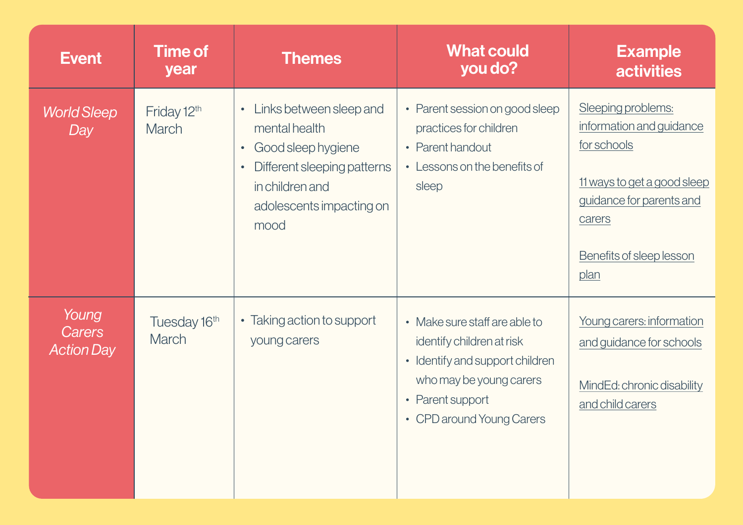| <b>Event</b>                                | <b>Time of</b><br>year       | <b>Themes</b>                                                                                                                                                                               | <b>What could</b><br>you do?                                                                                                                                              | <b>Example</b><br><b>activities</b>                                                                                                                                    |
|---------------------------------------------|------------------------------|---------------------------------------------------------------------------------------------------------------------------------------------------------------------------------------------|---------------------------------------------------------------------------------------------------------------------------------------------------------------------------|------------------------------------------------------------------------------------------------------------------------------------------------------------------------|
| <b>World Sleep</b><br>Day                   | Friday 12th<br><b>March</b>  | Links between sleep and<br>$\bullet$<br>mental health<br>Good sleep hygiene<br>$\bullet$<br>Different sleeping patterns<br>$\bullet$<br>in children and<br>adolescents impacting on<br>mood | • Parent session on good sleep<br>practices for children<br>• Parent handout<br>• Lessons on the benefits of<br>sleep                                                     | Sleeping problems:<br>information and guidance<br>for schools<br>11 ways to get a good sleep<br>guidance for parents and<br>carers<br>Benefits of sleep lesson<br>plan |
| Young<br><b>Carers</b><br><b>Action Day</b> | Tuesday 16th<br><b>March</b> | • Taking action to support<br>young carers                                                                                                                                                  | • Make sure staff are able to<br>identify children at risk<br>• Identify and support children<br>who may be young carers<br>• Parent support<br>• CPD around Young Carers | Young carers: information<br>and guidance for schools<br>MindEd: chronic disability<br>and child carers                                                                |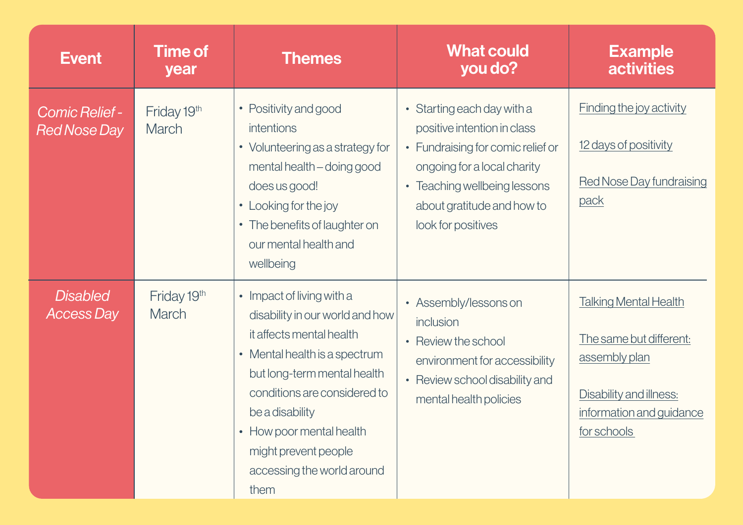| <b>Event</b>                                 | <b>Time of</b><br>year      | <b>Themes</b>                                                                                                                                                                                                                                                                                         | <b>What could</b><br>you do?                                                                                                                                                                                      | <b>Example</b><br><b>activities</b>                                                                                                            |
|----------------------------------------------|-----------------------------|-------------------------------------------------------------------------------------------------------------------------------------------------------------------------------------------------------------------------------------------------------------------------------------------------------|-------------------------------------------------------------------------------------------------------------------------------------------------------------------------------------------------------------------|------------------------------------------------------------------------------------------------------------------------------------------------|
| <b>Comic Relief -</b><br><b>Red Nose Day</b> | Friday 19th<br><b>March</b> | • Positivity and good<br>intentions<br>• Volunteering as a strategy for<br>mental health - doing good<br>does us good!<br>• Looking for the joy<br>• The benefits of laughter on<br>our mental health and<br>wellbeing                                                                                | • Starting each day with a<br>positive intention in class<br>• Fundraising for comic relief or<br>ongoing for a local charity<br>• Teaching wellbeing lessons<br>about gratitude and how to<br>look for positives | <b>Finding the joy activity</b><br>12 days of positivity<br>Red Nose Day fundraising<br>pack                                                   |
| <b>Disabled</b><br><b>Access Day</b>         | Friday 19th<br><b>March</b> | • Impact of living with a<br>disability in our world and how<br>it affects mental health<br>• Mental health is a spectrum<br>but long-term mental health<br>conditions are considered to<br>be a disability<br>• How poor mental health<br>might prevent people<br>accessing the world around<br>them | • Assembly/lessons on<br>inclusion<br>• Review the school<br>environment for accessibility<br>• Review school disability and<br>mental health policies                                                            | <b>Talking Mental Health</b><br>The same but different:<br>assembly plan<br>Disability and illness:<br>information and guidance<br>for schools |